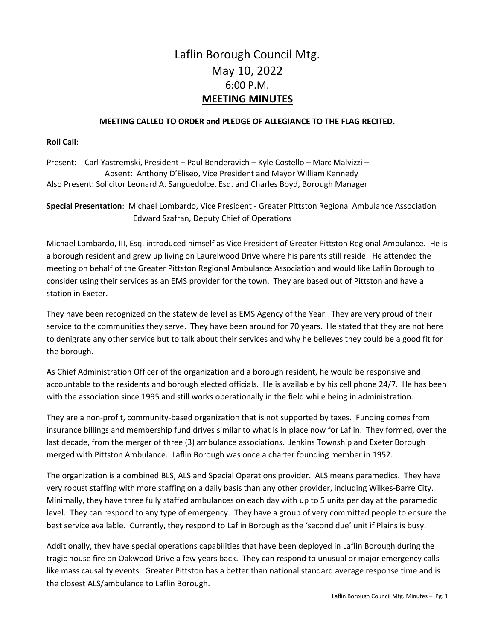# Laflin Borough Council Mtg. May 10, 2022 6:00 P.M. **MEETING MINUTES**

#### **MEETING CALLED TO ORDER and PLEDGE OF ALLEGIANCE TO THE FLAG RECITED.**

#### **Roll Call**:

Present: Carl Yastremski, President – Paul Benderavich – Kyle Costello – Marc Malvizzi – Absent: Anthony D'Eliseo, Vice President and Mayor William Kennedy Also Present: Solicitor Leonard A. Sanguedolce, Esq. and Charles Boyd, Borough Manager

**Special Presentation**: Michael Lombardo, Vice President - Greater Pittston Regional Ambulance Association Edward Szafran, Deputy Chief of Operations

Michael Lombardo, III, Esq. introduced himself as Vice President of Greater Pittston Regional Ambulance. He is a borough resident and grew up living on Laurelwood Drive where his parents still reside. He attended the meeting on behalf of the Greater Pittston Regional Ambulance Association and would like Laflin Borough to consider using their services as an EMS provider for the town. They are based out of Pittston and have a station in Exeter.

They have been recognized on the statewide level as EMS Agency of the Year. They are very proud of their service to the communities they serve. They have been around for 70 years. He stated that they are not here to denigrate any other service but to talk about their services and why he believes they could be a good fit for the borough.

As Chief Administration Officer of the organization and a borough resident, he would be responsive and accountable to the residents and borough elected officials. He is available by his cell phone 24/7. He has been with the association since 1995 and still works operationally in the field while being in administration.

They are a non-profit, community-based organization that is not supported by taxes. Funding comes from insurance billings and membership fund drives similar to what is in place now for Laflin. They formed, over the last decade, from the merger of three (3) ambulance associations. Jenkins Township and Exeter Borough merged with Pittston Ambulance. Laflin Borough was once a charter founding member in 1952.

The organization is a combined BLS, ALS and Special Operations provider. ALS means paramedics. They have very robust staffing with more staffing on a daily basis than any other provider, including Wilkes-Barre City. Minimally, they have three fully staffed ambulances on each day with up to 5 units per day at the paramedic level. They can respond to any type of emergency. They have a group of very committed people to ensure the best service available. Currently, they respond to Laflin Borough as the 'second due' unit if Plains is busy.

Additionally, they have special operations capabilities that have been deployed in Laflin Borough during the tragic house fire on Oakwood Drive a few years back. They can respond to unusual or major emergency calls like mass causality events. Greater Pittston has a better than national standard average response time and is the closest ALS/ambulance to Laflin Borough.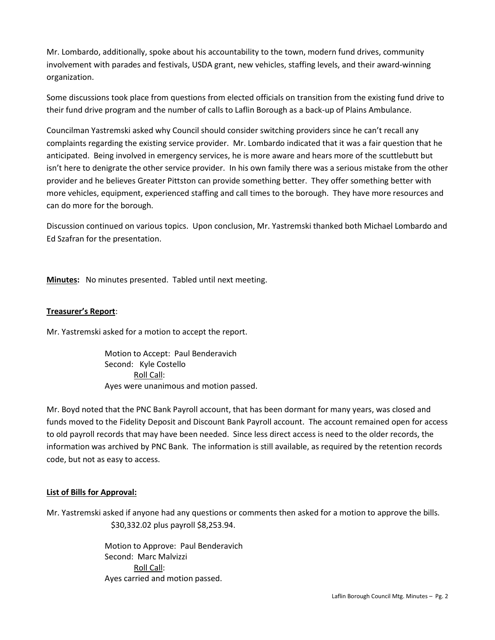Mr. Lombardo, additionally, spoke about his accountability to the town, modern fund drives, community involvement with parades and festivals, USDA grant, new vehicles, staffing levels, and their award-winning organization.

Some discussions took place from questions from elected officials on transition from the existing fund drive to their fund drive program and the number of calls to Laflin Borough as a back-up of Plains Ambulance.

Councilman Yastremski asked why Council should consider switching providers since he can't recall any complaints regarding the existing service provider. Mr. Lombardo indicated that it was a fair question that he anticipated. Being involved in emergency services, he is more aware and hears more of the scuttlebutt but isn't here to denigrate the other service provider. In his own family there was a serious mistake from the other provider and he believes Greater Pittston can provide something better. They offer something better with more vehicles, equipment, experienced staffing and call times to the borough. They have more resources and can do more for the borough.

Discussion continued on various topics. Upon conclusion, Mr. Yastremski thanked both Michael Lombardo and Ed Szafran for the presentation.

**Minutes:** No minutes presented. Tabled until next meeting.

## **Treasurer's Report**:

Mr. Yastremski asked for a motion to accept the report.

Motion to Accept: Paul Benderavich Second: Kyle Costello Roll Call: Ayes were unanimous and motion passed.

Mr. Boyd noted that the PNC Bank Payroll account, that has been dormant for many years, was closed and funds moved to the Fidelity Deposit and Discount Bank Payroll account. The account remained open for access to old payroll records that may have been needed. Since less direct access is need to the older records, the information was archived by PNC Bank. The information is still available, as required by the retention records code, but not as easy to access.

## **List of Bills for Approval:**

Mr. Yastremski asked if anyone had any questions or comments then asked for a motion to approve the bills. \$30,332.02 plus payroll \$8,253.94.

> Motion to Approve: Paul Benderavich Second: Marc Malvizzi Roll Call: Ayes carried and motion passed.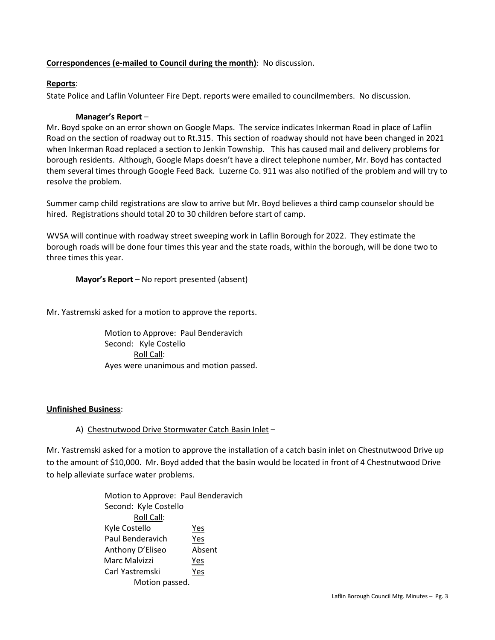## **Correspondences (e-mailed to Council during the month)**: No discussion.

## **Reports**:

State Police and Laflin Volunteer Fire Dept. reports were emailed to councilmembers. No discussion.

## **Manager's Report** –

Mr. Boyd spoke on an error shown on Google Maps. The service indicates Inkerman Road in place of Laflin Road on the section of roadway out to Rt.315. This section of roadway should not have been changed in 2021 when Inkerman Road replaced a section to Jenkin Township. This has caused mail and delivery problems for borough residents. Although, Google Maps doesn't have a direct telephone number, Mr. Boyd has contacted them several times through Google Feed Back. Luzerne Co. 911 was also notified of the problem and will try to resolve the problem.

Summer camp child registrations are slow to arrive but Mr. Boyd believes a third camp counselor should be hired. Registrations should total 20 to 30 children before start of camp.

WVSA will continue with roadway street sweeping work in Laflin Borough for 2022. They estimate the borough roads will be done four times this year and the state roads, within the borough, will be done two to three times this year.

**Mayor's Report** – No report presented (absent)

Mr. Yastremski asked for a motion to approve the reports.

Motion to Approve: Paul Benderavich Second: Kyle Costello Roll Call: Ayes were unanimous and motion passed.

# **Unfinished Business**:

# A) Chestnutwood Drive Stormwater Catch Basin Inlet –

Mr. Yastremski asked for a motion to approve the installation of a catch basin inlet on Chestnutwood Drive up to the amount of \$10,000. Mr. Boyd added that the basin would be located in front of 4 Chestnutwood Drive to help alleviate surface water problems.

> Motion to Approve: Paul Benderavich Second: Kyle Costello Roll Call: Kyle Costello Yes Paul Benderavich Yes Anthony D'Eliseo Absent Marc Malvizzi Yes Carl Yastremski Yes Motion passed.